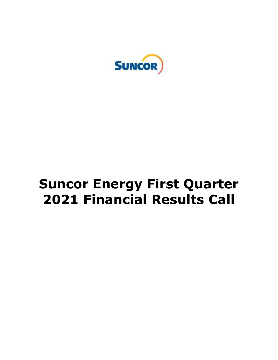

# **Suncor Energy First Quarter 2021 Financial Results Call**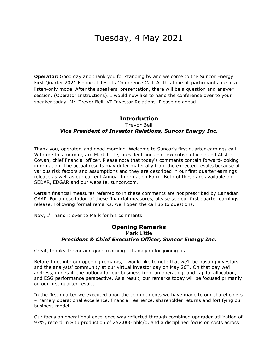**Operator:** Good day and thank you for standing by and welcome to the Suncor Energy First Quarter 2021 Financial Results Conference Call. At this time all participants are in a listen-only mode. After the speakers' presentation, there will be a question and answer session. (Operator Instructions). I would now like to hand the conference over to your speaker today, Mr. Trevor Bell, VP Investor Relations. Please go ahead.

## Trevor Bell  *Vice President of Investor Relations, Suncor Energy Inc.*  **Introduction**

 Thank you, operator, and good morning. Welcome to Suncor's first quarter earnings call. With me this morning are Mark Little, president and chief executive officer; and Alister Cowan, chief financial officer. Please note that today's comments contain forward-looking information. The actual results may differ materially from the expected results because of various risk factors and assumptions and they are described in our first quarter earnings release as well as our current Annual Information Form. Both of these are available on SEDAR, EDGAR and our website, [suncor.com](https://suncor.com).

 Certain financial measures referred to in these comments are not prescribed by Canadian GAAP. For a description of these financial measures, please see our first quarter earnings release. Following formal remarks, we'll open the call up to questions.

Now, I'll hand it over to Mark for his comments.

### **Opening Remarks**  Mark Little  *President & Chief Executive Officer, Suncor Energy Inc.*

Great, thanks Trevor and good morning - thank you for joining us.

 Before I get into our opening remarks, I would like to note that we'll be hosting investors and the analysts' community at our virtual investor day on May 26<sup>th</sup>. On that day we'll address, in detail, the outlook for our business from an operating, and capital allocation, and ESG performance perspective. As a result, our remarks today will be focused primarily on our first quarter results.

 In the first quarter we executed upon the commitments we have made to our shareholders – namely operational excellence, financial resilience, shareholder returns and fortifying our business model.

 Our focus on operational excellence was reflected through combined upgrader utilization of 97%, record In Situ production of 252,000 bbls/d, and a disciplined focus on costs across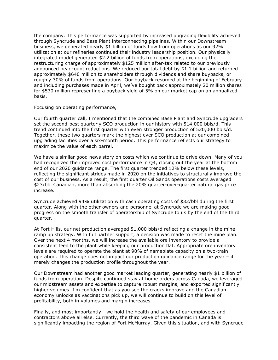the company. This performance was supported by increased upgrading flexibility achieved through Syncrude and Base Plant interconnecting pipelines. Within our Downstream business, we generated nearly \$1 billion of funds flow from operations as our 92% utilization at our refineries continued their industry leadership position. Our physically integrated model generated \$2.2 billion of funds from operations, excluding the restructuring charge of approximately \$125 million after-tax related to our previously announced headcount reductions. We reduced our total debt by \$1.1 billion and returned approximately \$640 million to shareholders through dividends and share buybacks, or roughly 30% of funds from operations. Our buyback resumed at the beginning of February and including purchases made in April, we've bought back approximately 20 million shares for \$530 million representing a buyback yield of 5% on our market cap on an annualized basis.

Focusing on operating performance,

 Our fourth quarter call, I mentioned that the combined Base Plant and Syncrude upgraders set the second-best quarterly SCO production in our history with 514,000 bbls/d. This trend continued into the first quarter with even stronger production of 520,000 bbls/d. Together, these two quarters mark the highest ever SCO production at our combined upgrading facilities over a six-month period. This performance reflects our strategy to maximize the value of each barrel.

 We have a similar good news story on costs which we continue to drive down. Many of you had recognized the improved cost performance in Q4, closing out the year at the bottom end of our 2020 guidance range. The first quarter trended 12% below these levels, reflecting the significant strides made in 2020 on the initiatives to structurally improve the cost of our business. As a result, the first quarter Oil Sands operations costs averaged \$23/bbl Canadian, more than absorbing the 20% quarter-over-quarter natural gas price increase.

increase.<br>Syncrude achieved 94% utilization with cash operating costs of \$32/bbl during the first quarter. Along with the other owners and personnel at Syncrude we are making good progress on the smooth transfer of operatorship of Syncrude to us by the end of the third quarter.

quarter.<br>At Fort Hills, our net production averaged 51,000 bbls/d reflecting a change in the mine ramp up strategy. With full partner support, a decision was made to reset the mine plan. Over the next 4 months, we will increase the available ore inventory to provide a consistent feed to the plant while keeping our production flat. Appropriate ore inventory levels are required to operate the plant at 90% of nameplate capacity on a two-train operation. This change does not impact our production guidance range for the year – it merely changes the production profile throughout the year.

 Our Downstream had another good market leading quarter, generating nearly \$1 billion of funds from operation. Despite continued stay at home orders across Canada, we leveraged our midstream assets and expertise to capture robust margins, and exported significantly higher volumes. I'm confident that as you see the cracks improve and the Canadian economy unlocks as vaccinations pick up, we will continue to build on this level of profitability, both in volumes and margin increases.

 Finally, and most importantly - we hold the health and safety of our employees and contractors above all else. Currently, the third wave of the pandemic in Canada is significantly impacting the region of Fort McMurray. Given this situation, and with Syncrude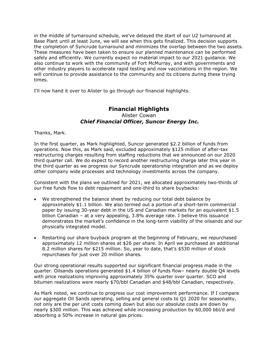in the middle of turnaround schedule, we've delayed the start of our U2 turnaround at Base Plant until at least June, we will see when this gets finalized. This decision supports the completion of Syncrude turnaround and minimizes the overlap between the two assets. These measures have been taken to ensure our planned maintenance can be performed safely and efficiently. We currently expect no material impact to our 2021 guidance. We also continue to work with the community of Fort McMurray, and with governments and other industry players to accelerate rapid testing and now vaccinations in the region. We will continue to provide assistance to the community and its citizens during these trying times.

times.<br>I'll now hand it over to Alister to go through our financial highlights.

# Alister Cowan  *Chief Financial Officer, Suncor Energy Inc.*  **Financial Highlights**

Thanks, Mark.

 In the first quarter, as Mark highlighted, Suncor generated \$2.2 billion of funds from operations. Now this, as Mark said, excluded approximately \$125 million of after-tax restructuring charges resulting from staffing reductions that we announced on our 2020 third quarter call. We do expect to record another restructuring charge later this year in the third quarter as we progress our Syncrude operatorship integration and as we deploy other company wide processes and technology investments across the company.

 Consistent with the plans we outlined for 2021, we allocated approximately two-thirds of our free funds flow to debt repayment and one-third to share buybacks:

- We strengthened the balance sheet by reducing our total debt balance by approximately \$1.1 billion. We also termed out a portion of a short-term commercial paper by issuing 30-year debt in the US and Canadian markets for an equivalent \$1.5 billion Canadian – at a very appealing, 3.8% average rate. I believe this issuance demonstrates the market's confidence in the long-term viability of the oilsands and our physically integrated model.
- Restarting our share buyback program at the beginning of February, we repurchased approximately 12 million shares at \$26 per share. In April we purchased an additional 8.2 million shares for \$215 million. So, year to date, that's \$530 million of stock repurchases for just over 20 million shares.

 Our strong operational results supported our significant financial progress made in the quarter. Oilsands operations generated \$1.4 billion of funds flow– nearly double Q4 levels with price realizations improving approximately 35% quarter over quarter. SCO and bitumen realizations were nearly \$70/bbl Canadian and \$48/bbl Canadian, respectively.

 As Mark noted, we continue to progress our cost improvement performance. If I compare our aggregate Oil Sands operating, selling and general costs to Q1 2020 for seasonality, not only are the per unit costs coming down but also our absolute costs are down by nearly \$300 million. This was achieved while increasing production by 60,000 bbl/d and absorbing a 50% increase in natural gas prices.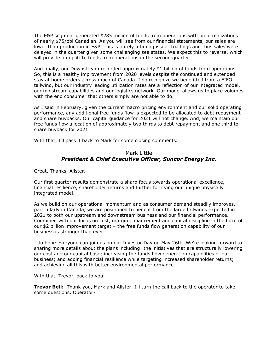The E&P segment generated \$285 million of funds from operations with price realizations of nearly \$75/bbl Canadian. As you will see from our financial statements, our sales are lower than production in E&P. This is purely a timing issue. Loadings and thus sales were delayed in the quarter given some challenging sea states. We expect this to reverse, which will provide an uplift to funds from operations in the second quarter.

 And finally, our Downstream recorded approximately \$1 billion of funds from operations. So, this is a healthy improvement from 2020 levels despite the continued and extended stay at home orders across much of Canada. I do recognize we benefitted from a FIFO tailwind, but our industry leading utilization rates are a reflection of our integrated model, our midstream capabilities and our logistics network. Our model allows us to place volumes with the end consumer that others simply are not able to do.

 As I said in February, given the current macro pricing environment and our solid operating performance, any additional free funds flow is expected to be allocated to debt repayment and share buybacks. Our capital guidance for 2021 will not change. And, we maintain our free funds flow allocation of approximately two thirds to debt repayment and one third to share buyback for 2021.

With that, I'll pass it back to Mark for some closing comments.

## Mark Little  *President & Chief Executive Officer, Suncor Energy Inc.*

Great, Thanks, Alister.

 Our first quarter results demonstrate a sharp focus towards operational excellence, financial resilience, shareholder returns and further fortifying our unique physically integrated model.

 As we build on our operational momentum and as consumer demand steadily improves, particularly in Canada, we are positioned to benefit from the large tailwinds expected in 2021 to both our upstream and downstream business and our financial performance. Combined with our focus on cost, margin enhancement and capital discipline in the form of our \$2 billion improvement target – the free funds flow generation capability of our business is stronger than ever.

 I do hope everyone can join us on our Investor Day on May 26th. We're looking forward to sharing more details about the plans including: the initiatives that are structurally lowering our cost and our capital base; increasing the funds flow generation capabilities of our business; and adding financial resilience while targeting increased shareholder returns; and achieving all this with better environmental performance.

With that, Trevor, back to you.

 **Trevor Bell:** Thank you, Mark and Alister. I'll turn the call back to the operator to take some questions. Operator?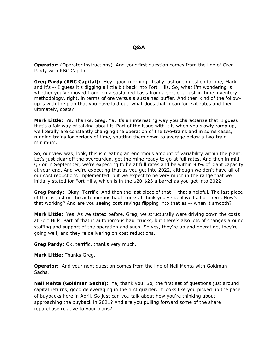**Operator:** (Operator instructions). And your first question comes from the line of Greg Pardy with RBC Capital.

 **Greg Pardy (RBC Capital):** Hey, good morning. Really just one question for me, Mark, and it's -- I guess it's digging a little bit back into Fort Hills. So, what I'm wondering is whether you've moved from, on a sustained basis from a sort of a just-in-time inventory methodology, right, in terms of ore versus a sustained buffer. And then kind of the follow- up is with the plan that you have laid out, what does that mean for exit rates and then ultimately, costs?

 **Mark Little:** Ya. Thanks, Greg. Ya, it's an interesting way you characterize that. I guess that's a fair way of talking about it. Part of the issue with it is when you slowly ramp up, we literally are constantly changing the operation of the two-trains and in some cases, running trains for periods of time, shutting them down to average below a two-train minimum.

minimum.<br>So, our view was, look, this is creating an enormous amount of variability within the plant. Let's just clear off the overburden, get the mine ready to go at full rates. And then in mid- Q3 or in September, we're expecting to be at full rates and be within 90% of plant capacity at year-end. And we're expecting that as you get into 2022, although we don't have all of our cost reductions implemented, but we expect to be very much in the range that we initially stated for Fort Hills, which is in the \$20-\$23 a barrel as you get into 2022.

 **Greg Pardy:** Okay. Terrific. And then the last piece of that -- that's helpful. The last piece of that is just on the autonomous haul trucks, I think you've deployed all of them. How's that working? And are you seeing cost savings flipping into that as -- when it smooth?

**Mark Little:** Yes. As we stated before, Greg, we structurally were driving down the costs at Fort Hills. Part of that is autonomous haul trucks, but there's also lots of changes around staffing and support of the operation and such. So yes, they're up and operating, they're going well, and they're delivering on cost reductions.

**Greg Pardy**: Ok, terrific, thanks very much.

**Mark Little:** Thanks Greg.

 **Operator:** And your next question comes from the line of Neil Mehta with Goldman Sachs.

 **Neil Mehta (Goldman Sachs):** Ya, thank you. So, the first set of questions just around capital returns, good deleveraging in the first quarter. It looks like you picked up the pace of buybacks here in April. So just can you talk about how you're thinking about approaching the buyback in 2021? And are you pulling forward some of the share repurchase relative to your plans?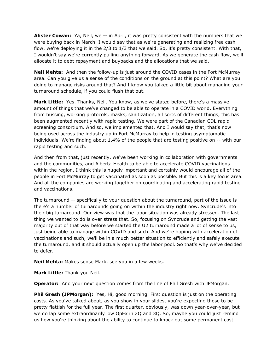**Alister Cowan:** Ya, Neil, we -- in April, it was pretty consistent with the numbers that we were buying back in March. I would say that as we're generating and realizing free cash flow, we're deploying it in the 2/3 to 1/3 that we said. So, it's pretty consistent. With that, I wouldn't say we're currently pulling anything forward. As we generate the cash flow, we'll allocate it to debt repayment and buybacks and the allocations that we said.

 **Neil Mehta:** And then the follow-up is just around the COVID cases in the Fort McMurray area. Can you give us a sense of the conditions on the ground at this point? What are you doing to manage risks around that? And I know you talked a little bit about managing your turnaround schedule, if you could flush that out.

 **Mark Little:** Yes. Thanks, Neil. You know, as we've stated before, there's a massive amount of things that we've changed to be able to operate in a COVID world. Everything from bussing, working protocols, masks, sanitization, all sorts of different things, this has been augmented recently with rapid testing. We were part of the Canadian CDL rapid screening consortium. And so, we implemented that. And I would say that, that's now being used across the industry up in Fort McMurray to help in testing asymptomatic individuals. We're finding about 1.4% of the people that are testing positive on -- with our rapid testing and such.

 And then from that, just recently, we've been working in collaboration with governments and the communities, and Alberta Health to be able to accelerate COVID vaccinations within the region. I think this is hugely important and certainly would encourage all of the people in Fort McMurray to get vaccinated as soon as possible. But this is a key focus area. And all the companies are working together on coordinating and accelerating rapid testing and vaccinations.

and vaccinations.<br>The turnaround -- specifically to your question about the turnaround, part of the issue is there's a number of turnarounds going on within the industry right now. Syncrude's into their big turnaround. Our view was that the labor situation was already stressed. The last thing we wanted to do is over stress that. So, focusing on Syncrude and getting the vast majority out of that way before we started the U2 turnaround made a lot of sense to us, just being able to manage within COVID and such. And we're hoping with acceleration of vaccinations and such, we'll be in a much better situation to efficiently and safely execute the turnaround, and it should actually open up the labor pool. So that's why we've decided to defer.

**Neil Mehta:** Makes sense Mark, see you in a few weeks.

**Mark Little:** Thank you Neil.

**Operator:** And your next question comes from the line of Phil Gresh with JPMorgan.

 **Phil Gresh (JPMorgan):** Yes, Hi, good morning. First question is just on the operating costs. As you've talked about, as you show in your slides, you're expecting those to be pretty flattish for the full year. The first quarter, obviously, was down year-over-year, but we do lap some extraordinarily low OpEx in 2Q and 3Q. So, maybe you could just remind us how you're thinking about the ability to continue to knock out some permanent cost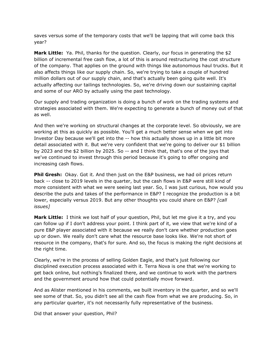saves versus some of the temporary costs that we'll be lapping that will come back this year?

 **Mark Little:** Ya. Phil, thanks for the question. Clearly, our focus in generating the \$2 billion of incremental free cash flow, a lot of this is around restructuring the cost structure of the company. That applies on the ground with things like autonomous haul trucks. But it also affects things like our supply chain. So, we're trying to take a couple of hundred million dollars out of our supply chain, and that's actually been going quite well. It's actually affecting our tailings technologies. So, we're driving down our sustaining capital and some of our ARO by actually using the past technology.

 Our supply and trading organization is doing a bunch of work on the trading systems and strategies associated with them. We're expecting to generate a bunch of money out of that as well.

 And then we're working on structural changes at the corporate level. So obviously, we are working at this as quickly as possible. You'll get a much better sense when we get into Investor Day because we'll get into the -- how this actually shows up in a little bit more detail associated with it. But we're very confident that we're going to deliver our \$1 billion by 2023 and the \$2 billion by 2025. So -- and I think that, that's one of the joys that we've continued to invest through this period because it's going to offer ongoing and increasing cash flows.

**Phil Gresh:** Okay. Got it. And then just on the E&P business, we had oil prices return back -- close to 2019 levels in the quarter, but the cash flows in E&P were still kind of more consistent with what we were seeing last year. So, I was just curious, how would you describe the puts and takes of the performance in E&P? I recognize the production is a bit lower, especially versus 2019. But any other thoughts you could share on E&P? *[call issues]* 

 **Mark Little:** I think we lost half of your question, Phil, but let me give it a try, and you can follow up if I don't address your point. I think part of it, we view that we're kind of a pure E&P player associated with it because we really don't care whether production goes up or down. We really don't care what the resource base looks like. We're not short of resource in the company, that's for sure. And so, the focus is making the right decisions at the right time.

 Clearly, we're in the process of selling Golden Eagle, and that's just following our disciplined execution process associated with it. Terra Nova is one that we're working to get back online, but nothing's finalized there, and we continue to work with the partners and the government around how that could potentially move forward.

 And as Alister mentioned in his comments, we built inventory in the quarter, and so we'll see some of that. So, you didn't see all the cash flow from what we are producing. So, in any particular quarter, it's not necessarily fully representative of the business.

Did that answer your question, Phil?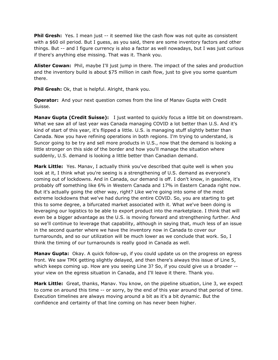**Phil Gresh:** Yes. I mean just -- it seemed like the cash flow was not quite as consistent with a \$60 oil period. But I guess, as you said, there are some inventory factors and other things. But -- and I figure currency is also a factor as well nowadays, but I was just curious if there's anything else missing. That was it. Thank you.

 **Alister Cowan:** Phil, maybe I'll just jump in there. The impact of the sales and production and the inventory build is about \$75 million in cash flow, just to give you some quantum there.

**Phil Gresh:** Ok, that is helpful. Alright, thank you.

 **Operator:** And your next question comes from the line of Manav Gupta with Credit Suisse.

**Manav Gupta (Credit Suisse):** I just wanted to quickly focus a little bit on downstream. What we saw all of last year was Canada managing COVID a lot better than U.S. And it's kind of start of this year, it's flipped a little. U.S. is managing stuff slightly better than Canada. Now you have refining operations in both regions. I'm trying to understand, is Suncor going to be try and sell more products in U.S., now that the demand is looking a little stronger on this side of the border and how you'll manage the situation where suddenly, U.S. demand is looking a little better than Canadian demand.

 **Mark Little:** Yes. Manav, I actually think you've described that quite well is when you look at it, I think what you're seeing is a strengthening of U.S. demand as everyone's coming out of lockdowns. And in Canada, our demand is off. I don't know, in gasoline, it's probably off something like 6% in Western Canada and 17% in Eastern Canada right now. But it's actually going the other way, right? Like we're going into some of the most extreme lockdowns that we've had during the entire COVID. So, you are starting to get this to some degree, a bifurcated market associated with it. What we've been doing is leveraging our logistics to be able to export product into the marketplace. I think that will even be a bigger advantage as the U.S. is moving forward and strengthening further. And so we'll continue to leverage that capability, although in saying that, much less of an issue in the second quarter where we have the inventory now in Canada to cover our turnarounds, and so our utilization will be much lower as we conclude that work. So, I think the timing of our turnarounds is really good in Canada as well.

 **Manav Gupta:** Okay. A quick follow-up, if you could update us on the progress on egress front. We saw TMX getting slightly delayed, and then there's always this issue of Line 5, which keeps coming up. How are you seeing Line 3? So, if you could give us a broader -- your view on the egress situation in Canada, and I'll leave it there. Thank you.

 **Mark Little:** Great, thanks, Manav. You know, on the pipeline situation, Line 3, we expect to come on around this time -- or sorry, by the end of this year around that period of time. Execution timelines are always moving around a bit as it's a bit dynamic. But the confidence and certainty of that line coming on has never been higher.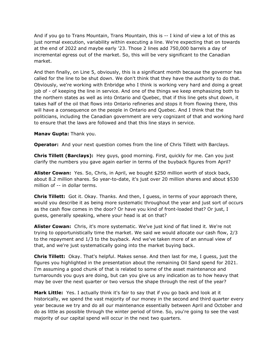And if you go to Trans Mountain, Trans Mountain, this is -- I kind of view a lot of this as just normal execution, variability within executing a line. We're expecting that on towards at the end of 2022 and maybe early '23. Those 2 lines add 750,000 barrels a day of incremental egress out of the market. So, this will be very significant to the Canadian market.

market.<br>And then finally, on Line 5, obviously, this is a significant month because the governor has called for the line to be shut down. We don't think that they have the authority to do that. Obviously, we're working with Enbridge who I think is working very hard and doing a great job of - of keeping the line in service. And one of the things we keep emphasizing both to the northern states as well as into Ontario and Quebec, that if this line gets shut down, it takes half of the oil that flows into Ontario refineries and stops it from flowing there, this will have a consequence on the people in Ontario and Quebec. And I think that the politicians, including the Canadian government are very cognizant of that and working hard to ensure that the laws are followed and that this line stays in service.

#### **Manav Gupta:** Thank you.

**Operator:** And your next question comes from the line of Chris Tillett with Barclays.

 **Chris Tillett (Barclays):** Hey guys, good morning. First, quickly for me. Can you just clarify the numbers you gave again earlier in terms of the buyback figures from April?

 **Alister Cowan:** Yes. So, Chris, in April, we bought \$250 million worth of stock back, about 8.2 million shares. So year-to-date, it's just over 20 million shares and about \$530 million of -- in dollar terms.

 **Chris Tillett:** Got it. Okay. Thanks. And then, I guess, in terms of your approach there, would you describe it as being more systematic throughout the year and just sort of occurs as the cash flow comes in the door? Or have you kind of front-loaded that? Or just, I guess, generally speaking, where your head is at on that?

 **Alister Cowan:** Chris, it's more systematic. We've just kind of flat lined it. We're not trying to opportunistically time the market. We said we would allocate our cash flow, 2/3 to the repayment and 1/3 to the buyback. And we've taken more of an annual view of that, and we're just systematically going into the market buying back.

 **Chris Tillett:** Okay. That's helpful. Makes sense. And then last for me, I guess, just the figures you highlighted in the presentation about the remaining Oil Sand spend for 2021. I'm assuming a good chunk of that is related to some of the asset maintenance and turnarounds you guys are doing, but can you give us any indication as to how heavy that may be over the next quarter or two versus the shape through the rest of the year?

 **Mark Little:** Yes. I actually think it's fair to say that if you go back and look at it historically, we spend the vast majority of our money in the second and third quarter every year because we try and do all our maintenance essentially between April and October and do as little as possible through the winter period of time. So, you're going to see the vast majority of our capital spend will occur in the next two quarters.